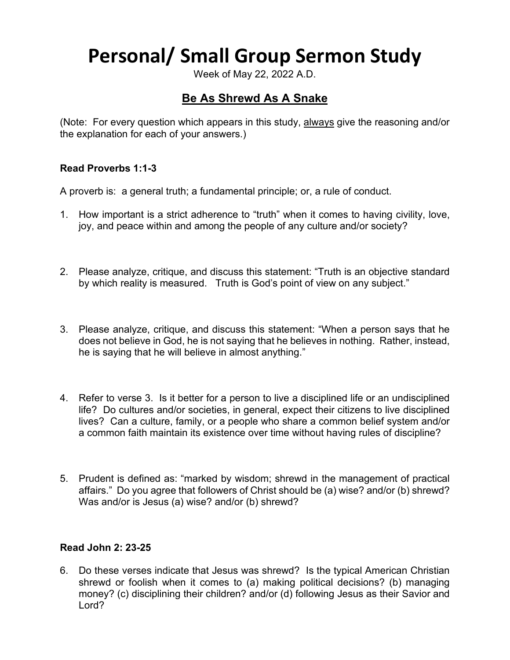# **Personal/ Small Group Sermon Study**

Week of May 22, 2022 A.D.

## **Be As Shrewd As A Snake**

(Note: For every question which appears in this study, always give the reasoning and/or the explanation for each of your answers.)

### **Read Proverbs 1:1-3**

A proverb is: a general truth; a fundamental principle; or, a rule of conduct.

- 1. How important is a strict adherence to "truth" when it comes to having civility, love, joy, and peace within and among the people of any culture and/or society?
- 2. Please analyze, critique, and discuss this statement: "Truth is an objective standard by which reality is measured. Truth is God's point of view on any subject."
- 3. Please analyze, critique, and discuss this statement: "When a person says that he does not believe in God, he is not saying that he believes in nothing. Rather, instead, he is saying that he will believe in almost anything."
- 4. Refer to verse 3. Is it better for a person to live a disciplined life or an undisciplined life? Do cultures and/or societies, in general, expect their citizens to live disciplined lives? Can a culture, family, or a people who share a common belief system and/or a common faith maintain its existence over time without having rules of discipline?
- 5. Prudent is defined as: "marked by wisdom; shrewd in the management of practical affairs." Do you agree that followers of Christ should be (a) wise? and/or (b) shrewd? Was and/or is Jesus (a) wise? and/or (b) shrewd?

#### **Read John 2: 23-25**

6. Do these verses indicate that Jesus was shrewd? Is the typical American Christian shrewd or foolish when it comes to (a) making political decisions? (b) managing money? (c) disciplining their children? and/or (d) following Jesus as their Savior and Lord?